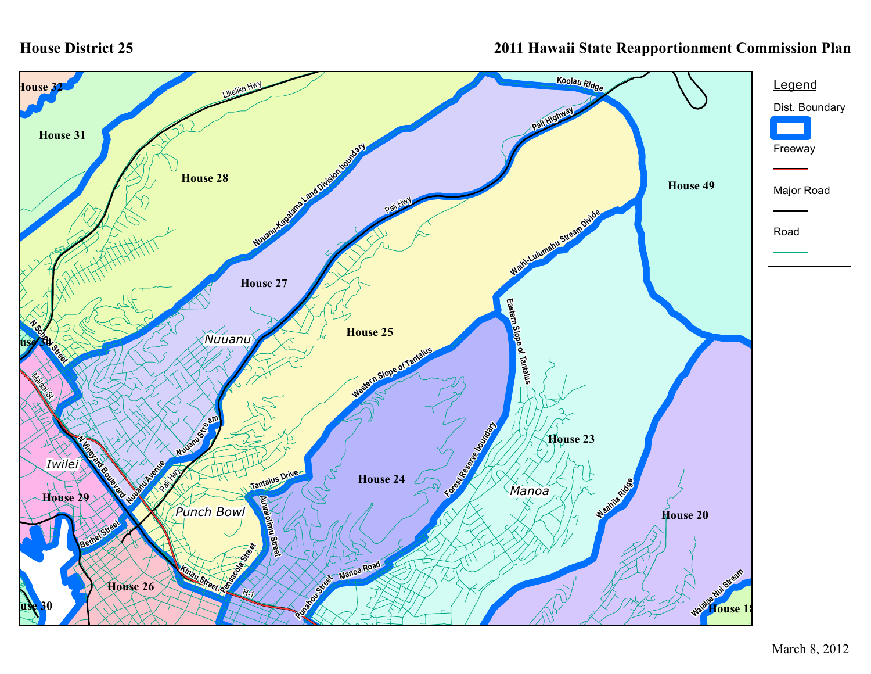## **House District 25**

## **2011 Hawaii State Reapportionment Commission Plan**